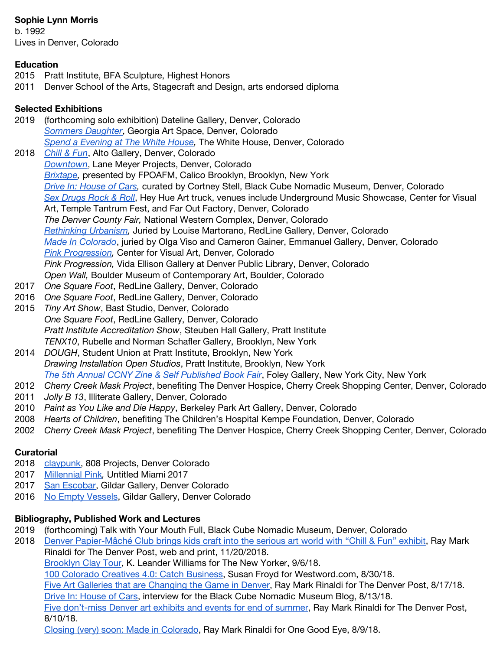# **Sophie Lynn Morris**

b. 1992 Lives in Denver, Colorado

#### **Education**

- 2015 Pratt Institute, BFA Sculpture, Highest Honors
- 2011 Denver School of the Arts, Stagecraft and Design, arts endorsed diploma

## **Selected Exhibitions**

- 2019 (forthcoming solo exhibition) Dateline Gallery, Denver, Colorado *[Sommers](https://www.facebook.com/events/461955034536930/) Daughter*, Georgia Art Space, Denver, Colorado *Spend a [Evening](https://www.facebook.com/events/2451457118418621/) at The White House,* The White House, Denver, Colorado
- 2018 *[Chill](https://www.altogallery.com/denver-papier-mache-club-chill-and-) & Fun*, Alto Gallery, Denver, Colorado *[Downtown](http://www.lanemeyerprojects.com/downtownatributetothemuddclub)*, Lane Meyer Projects, Denver, Colorado *[Brixtape](https://www.calicobrooklyn.com/on-view/),* presented by FPOAFM, Calico Brooklyn, Brooklyn, New York *Drive In: [House](https://blackcube.art/exhibition/drive-in-house-of-cars) of Cars,* curated by Cortney Stell, Black Cube Nomadic Museum, Denver, Colorado *Sex [Drugs](https://www.heyhueart.com/work/) Rock & Roll*, Hey Hue Art truck, venues include Underground Music Showcase, Center for Visual Art, Temple Tantrum Fest, and Far Out Factory, Denver, Colorado *The Denver County Fair,* National Western Complex, Denver, Colorado *[Rethinking](https://www.redlineart.org/upcomingevents/2018/6/6/rethinking-urbanism) Urbanism,* Juried by Louise Martorano, RedLine Gallery, Denver, Colorado *Made In [Colorado](http://www.emmanuelgallery.org/past-exhibitions/)*, juried by Olga Viso and Cameron Gainer, Emmanuel Gallery, Denver, Colorado *Pink [Progression](https://msudenver.edu/cva/exhibitions/pinkprogression/),* Center for Visual Art, Denver, Colorado *Pink Progression,* Vida Ellison Gallery at Denver Public Library, Denver, Colorado *Open Wall,* Boulder Museum of Contemporary Art, Boulder, Colorado
- 2017 *One Square Foot*, RedLine Gallery, Denver, Colorado
- 2016 *One Square Foot*, RedLine Gallery, Denver, Colorado
- 2015 *Tiny Art Show*, Bast Studio, Denver, Colorado *One Square Foot*, RedLine Gallery, Denver, Colorado *Pratt Institute Accreditation Show*, Steuben Hall Gallery, Pratt Institute *TENX10*, Rubelle and Norman Schafler Gallery, Brooklyn, New York
- 2014 *DOUGH*, Student Union at Pratt Institute, Brooklyn, New York *Drawing Installation Open Studios*, Pratt Institute, Brooklyn, New York *The 5th Annual CCNY Zine & Self [Published](https://www.baxterst.org/programs-2/zine-fair/the-5th-annual-zine-and-self-published-photo-book-fair/) Book Fair*, Foley Gallery, New York City, New York
- 2012 *Cherry Creek Mask Project*, benefiting The Denver Hospice, Cherry Creek Shopping Center, Denver, Colorado
- 2011 *Jolly B 13*, Illiterate Gallery, Denver, Colorado
- 2010 *Paint as You Like and Die Happy*, Berkeley Park Art Gallery, Denver, Colorado
- 2008 *Hearts of Children*, benefiting The Children's Hospital Kempe Foundation, Denver, Colorado
- 2002 *Cherry Creek Mask Project*, benefiting The Denver Hospice, Cherry Creek Shopping Center, Denver, Colorado

#### **Curatorial**

- 2018 [claypunk](http://www.808projects.com/ux-portfolio/claypunk/), 808 Projects, Denver Colorado
- 2017 [Millennial](http://gildargallery.com/exhibitions/art-fair-untitled-miami-2017-millennial-pink) Pink*,* Untitled Miami 2017
- 2017 San [Escobar,](http://gildargallery.com/exhibitions/san-escobar) Gildar Gallery, Denver Colorado
- 2016 No Empty [Vessels](https://www.gildargallery.com/exhibitions/no-empty-vessels), Gildar Gallery, Denver Colorado

#### **Bibliography, Published Work and Lectures**

- 2019 (forthcoming) Talk with Your Mouth Full, Black Cube Nomadic Museum, Denver, Colorado
- 2018 Denver [Papier-Mâché](https://theknow.denverpost.com/2018/11/20/denver-papier-mache-club-gallery-exhibit/201757/) Club brings kids craft into the serious art world with "Chill & Fun" exhibit, Ray Mark Rinaldi for The Denver Post, web and print, 11/20/2018. [Brooklyn](https://www.newyorker.com/goings-on-about-town/above-and-beyond/brooklyn-clay-tour) Clay Tour, K. Leander Williams for The New Yorker, 9/6/18. 100 Colorado [Creatives](https://www.westword.com/arts/theater-in-denver-capsule-reviews-of-current-shows-9425575) 4.0: Catch Business, Susan Froyd for Westword.com, 8/30/18. Five Art Galleries that are [Changing](https://theknow.denverpost.com/2018/08/17/denver-art-gallery-innovation/192723/) the Game in Denver, Ray Mark Rinaldi for The Denver Post, 8/17/18. Drive In: [House](http://blackcube.art/blog/drive-in-house-of-cars) of Cars, interview for the Black Cube Nomadic Museum Blog, 8/13/18. Five [don't-miss](https://theknow.denverpost.com/2018/08/10/denver-summer-art-events-exhibits/191990/) Denver art exhibits and events for end of summer, Ray Mark Rinaldi for The Denver Post, 8/10/18.
	- Closing (very) soon: Made in [Colorado,](http://onegoodeyeonline.com/2018/08/09/closing-soon-made-colorado/) Ray Mark Rinaldi for One Good Eye, 8/9/18.